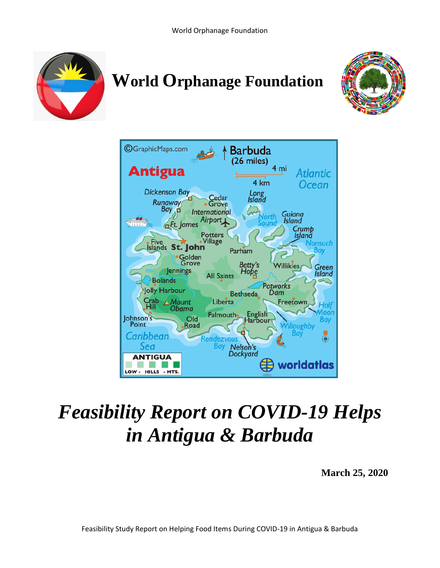

# **World Orphanage Foundation**





## *Feasibility Report on COVID-19 Helps in Antigua & Barbuda*

**March 25, 2020**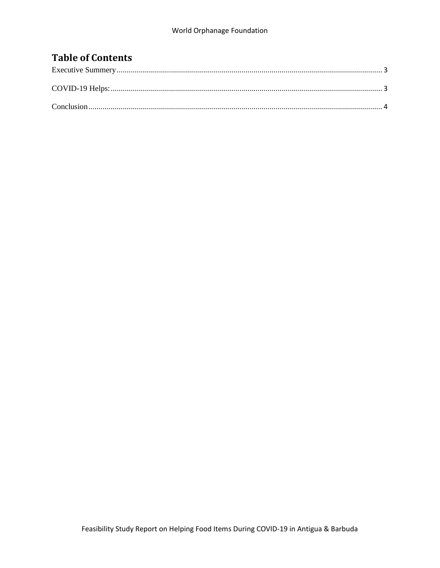#### **Table of Contents**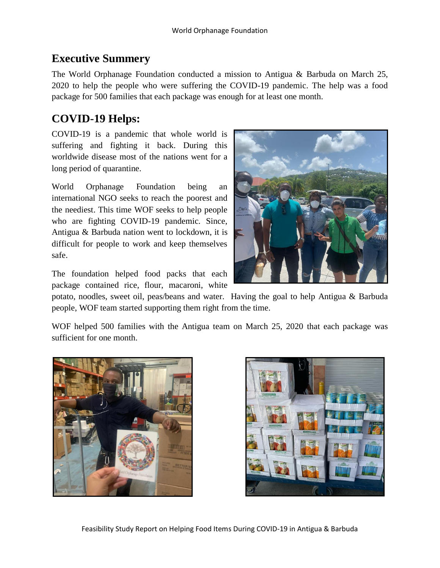#### <span id="page-2-0"></span>**Executive Summery**

The World Orphanage Foundation conducted a mission to Antigua & Barbuda on March 25, 2020 to help the people who were suffering the COVID-19 pandemic. The help was a food package for 500 families that each package was enough for at least one month.

### <span id="page-2-1"></span>**COVID-19 Helps:**

COVID-19 is a pandemic that whole world is suffering and fighting it back. During this worldwide disease most of the nations went for a long period of quarantine.

World Orphanage Foundation being an international NGO seeks to reach the poorest and the neediest. This time WOF seeks to help people who are fighting COVID-19 pandemic. Since, Antigua & Barbuda nation went to lockdown, it is difficult for people to work and keep themselves safe.

The foundation helped food packs that each package contained rice, flour, macaroni, white

potato, noodles, sweet oil, peas/beans and water. Having the goal to help Antigua & Barbuda people, WOF team started supporting them right from the time.

WOF helped 500 families with the Antigua team on March 25, 2020 that each package was sufficient for one month.